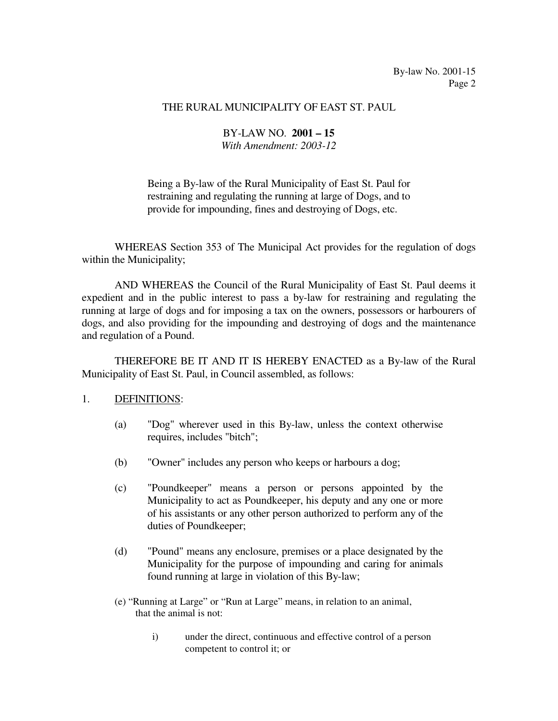#### THE RURAL MUNICIPALITY OF EAST ST. PAUL

### BY-LAW NO. **2001 – 15** *With Amendment: 2003-12*

 Being a By-law of the Rural Municipality of East St. Paul for restraining and regulating the running at large of Dogs, and to provide for impounding, fines and destroying of Dogs, etc.

 WHEREAS Section 353 of The Municipal Act provides for the regulation of dogs within the Municipality;

 AND WHEREAS the Council of the Rural Municipality of East St. Paul deems it expedient and in the public interest to pass a by-law for restraining and regulating the running at large of dogs and for imposing a tax on the owners, possessors or harbourers of dogs, and also providing for the impounding and destroying of dogs and the maintenance and regulation of a Pound.

 THEREFORE BE IT AND IT IS HEREBY ENACTED as a By-law of the Rural Municipality of East St. Paul, in Council assembled, as follows:

#### 1. DEFINITIONS:

- (a) "Dog" wherever used in this By-law, unless the context otherwise requires, includes "bitch";
- (b) "Owner" includes any person who keeps or harbours a dog;
- (c) "Poundkeeper" means a person or persons appointed by the Municipality to act as Poundkeeper, his deputy and any one or more of his assistants or any other person authorized to perform any of the duties of Poundkeeper;
- (d) "Pound" means any enclosure, premises or a place designated by the Municipality for the purpose of impounding and caring for animals found running at large in violation of this By-law;
- (e) "Running at Large" or "Run at Large" means, in relation to an animal, that the animal is not:
	- i) under the direct, continuous and effective control of a person competent to control it; or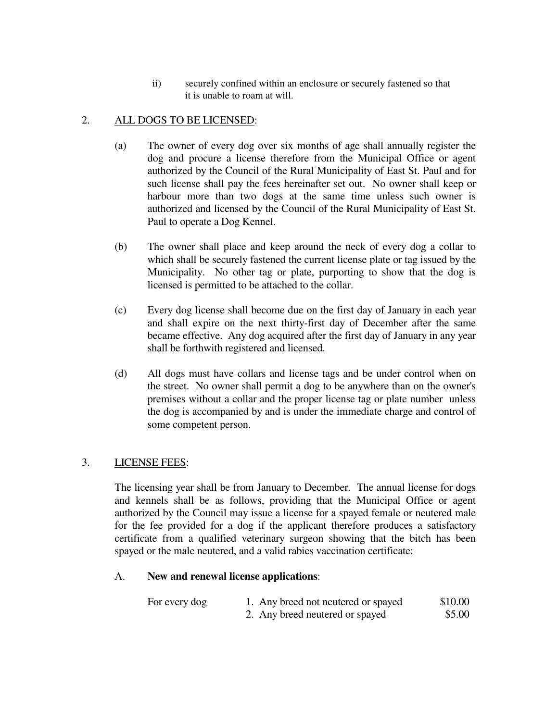ii) securely confined within an enclosure or securely fastened so that it is unable to roam at will.

# 2. ALL DOGS TO BE LICENSED:

- (a) The owner of every dog over six months of age shall annually register the dog and procure a license therefore from the Municipal Office or agent authorized by the Council of the Rural Municipality of East St. Paul and for such license shall pay the fees hereinafter set out. No owner shall keep or harbour more than two dogs at the same time unless such owner is authorized and licensed by the Council of the Rural Municipality of East St. Paul to operate a Dog Kennel.
- (b) The owner shall place and keep around the neck of every dog a collar to which shall be securely fastened the current license plate or tag issued by the Municipality. No other tag or plate, purporting to show that the dog is licensed is permitted to be attached to the collar.
- (c) Every dog license shall become due on the first day of January in each year and shall expire on the next thirty-first day of December after the same became effective. Any dog acquired after the first day of January in any year shall be forthwith registered and licensed.
- (d) All dogs must have collars and license tags and be under control when on the street. No owner shall permit a dog to be anywhere than on the owner's premises without a collar and the proper license tag or plate number unless the dog is accompanied by and is under the immediate charge and control of some competent person.

# 3. LICENSE FEES:

 The licensing year shall be from January to December. The annual license for dogs and kennels shall be as follows, providing that the Municipal Office or agent authorized by the Council may issue a license for a spayed female or neutered male for the fee provided for a dog if the applicant therefore produces a satisfactory certificate from a qualified veterinary surgeon showing that the bitch has been spayed or the male neutered, and a valid rabies vaccination certificate:

### A. **New and renewal license applications**:

| For every dog | 1. Any breed not neutered or spayed | \$10.00 |
|---------------|-------------------------------------|---------|
|               | 2. Any breed neutered or spayed     | \$5.00  |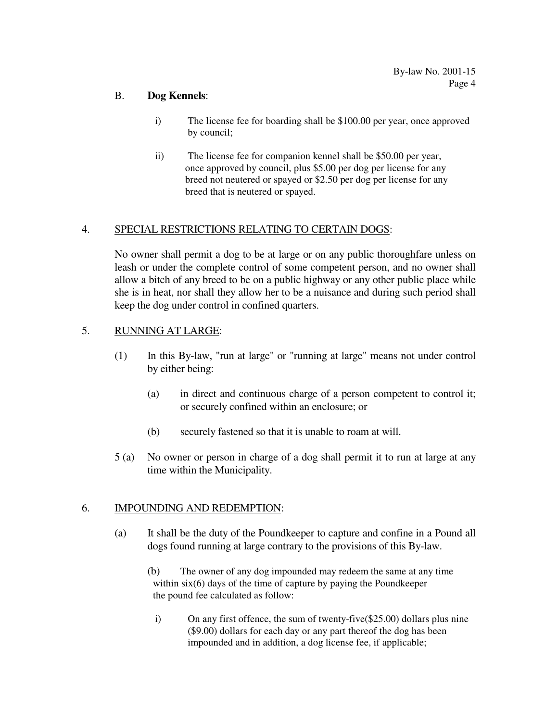### B. **Dog Kennels**:

- i) The license fee for boarding shall be \$100.00 per year, once approved by council;
- ii) The license fee for companion kennel shall be \$50.00 per year, once approved by council, plus \$5.00 per dog per license for any breed not neutered or spayed or \$2.50 per dog per license for any breed that is neutered or spayed.

# 4. SPECIAL RESTRICTIONS RELATING TO CERTAIN DOGS:

 No owner shall permit a dog to be at large or on any public thoroughfare unless on leash or under the complete control of some competent person, and no owner shall allow a bitch of any breed to be on a public highway or any other public place while she is in heat, nor shall they allow her to be a nuisance and during such period shall keep the dog under control in confined quarters.

# 5. RUNNING AT LARGE:

- (1) In this By-law, "run at large" or "running at large" means not under control by either being:
	- (a) in direct and continuous charge of a person competent to control it; or securely confined within an enclosure; or
	- (b) securely fastened so that it is unable to roam at will.
- 5 (a) No owner or person in charge of a dog shall permit it to run at large at any time within the Municipality.

# 6. IMPOUNDING AND REDEMPTION:

- (a) It shall be the duty of the Poundkeeper to capture and confine in a Pound all dogs found running at large contrary to the provisions of this By-law.
	- (b) The owner of any dog impounded may redeem the same at any time within six(6) days of the time of capture by paying the Poundkeeper the pound fee calculated as follow:
		- i) On any first offence, the sum of twenty-five(\$25.00) dollars plus nine (\$9.00) dollars for each day or any part thereof the dog has been impounded and in addition, a dog license fee, if applicable;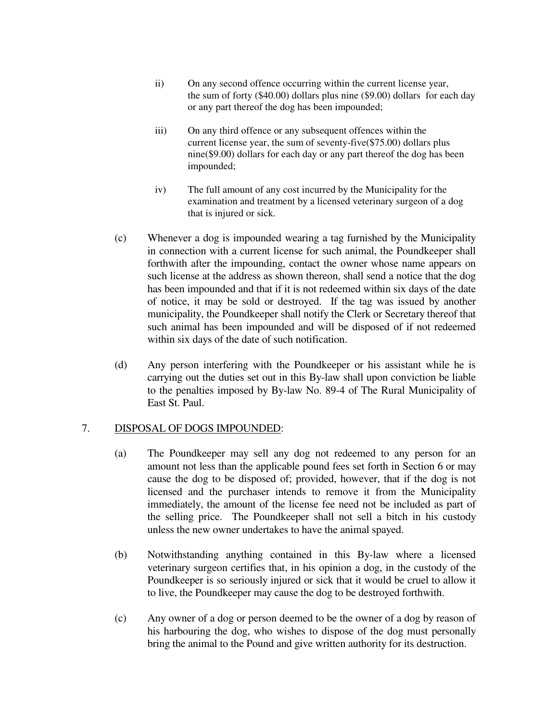- ii) On any second offence occurring within the current license year, the sum of forty (\$40.00) dollars plus nine (\$9.00) dollars for each day or any part thereof the dog has been impounded;
- iii) On any third offence or any subsequent offences within the current license year, the sum of seventy-five(\$75.00) dollars plus nine(\$9.00) dollars for each day or any part thereof the dog has been impounded;
- iv) The full amount of any cost incurred by the Municipality for the examination and treatment by a licensed veterinary surgeon of a dog that is injured or sick.
- (c) Whenever a dog is impounded wearing a tag furnished by the Municipality in connection with a current license for such animal, the Poundkeeper shall forthwith after the impounding, contact the owner whose name appears on such license at the address as shown thereon, shall send a notice that the dog has been impounded and that if it is not redeemed within six days of the date of notice, it may be sold or destroyed. If the tag was issued by another municipality, the Poundkeeper shall notify the Clerk or Secretary thereof that such animal has been impounded and will be disposed of if not redeemed within six days of the date of such notification.
- (d) Any person interfering with the Poundkeeper or his assistant while he is carrying out the duties set out in this By-law shall upon conviction be liable to the penalties imposed by By-law No. 89-4 of The Rural Municipality of East St. Paul.

### 7. DISPOSAL OF DOGS IMPOUNDED:

- (a) The Poundkeeper may sell any dog not redeemed to any person for an amount not less than the applicable pound fees set forth in Section 6 or may cause the dog to be disposed of; provided, however, that if the dog is not licensed and the purchaser intends to remove it from the Municipality immediately, the amount of the license fee need not be included as part of the selling price. The Poundkeeper shall not sell a bitch in his custody unless the new owner undertakes to have the animal spayed.
- (b) Notwithstanding anything contained in this By-law where a licensed veterinary surgeon certifies that, in his opinion a dog, in the custody of the Poundkeeper is so seriously injured or sick that it would be cruel to allow it to live, the Poundkeeper may cause the dog to be destroyed forthwith.
- (c) Any owner of a dog or person deemed to be the owner of a dog by reason of his harbouring the dog, who wishes to dispose of the dog must personally bring the animal to the Pound and give written authority for its destruction.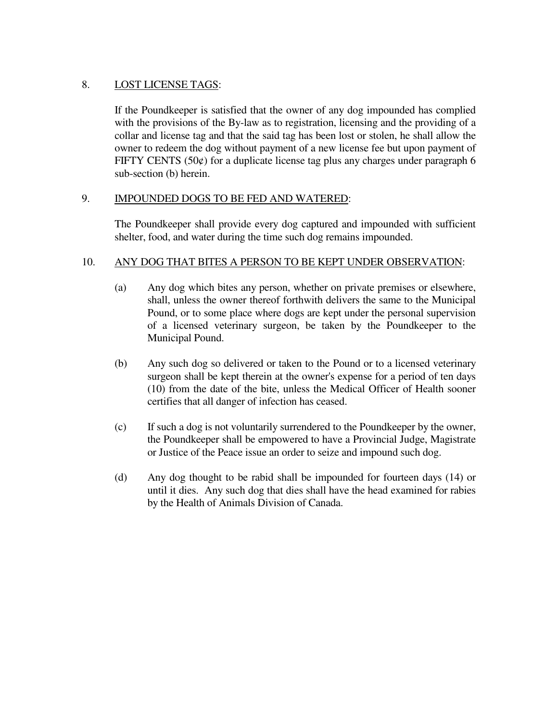# 8. LOST LICENSE TAGS:

 If the Poundkeeper is satisfied that the owner of any dog impounded has complied with the provisions of the By-law as to registration, licensing and the providing of a collar and license tag and that the said tag has been lost or stolen, he shall allow the owner to redeem the dog without payment of a new license fee but upon payment of FIFTY CENTS (50 $\acute{\epsilon}$ ) for a duplicate license tag plus any charges under paragraph 6 sub-section (b) herein.

# 9. IMPOUNDED DOGS TO BE FED AND WATERED:

 The Poundkeeper shall provide every dog captured and impounded with sufficient shelter, food, and water during the time such dog remains impounded.

### 10. ANY DOG THAT BITES A PERSON TO BE KEPT UNDER OBSERVATION:

- (a) Any dog which bites any person, whether on private premises or elsewhere, shall, unless the owner thereof forthwith delivers the same to the Municipal Pound, or to some place where dogs are kept under the personal supervision of a licensed veterinary surgeon, be taken by the Poundkeeper to the Municipal Pound.
- (b) Any such dog so delivered or taken to the Pound or to a licensed veterinary surgeon shall be kept therein at the owner's expense for a period of ten days (10) from the date of the bite, unless the Medical Officer of Health sooner certifies that all danger of infection has ceased.
- (c) If such a dog is not voluntarily surrendered to the Poundkeeper by the owner, the Poundkeeper shall be empowered to have a Provincial Judge, Magistrate or Justice of the Peace issue an order to seize and impound such dog.
- (d) Any dog thought to be rabid shall be impounded for fourteen days (14) or until it dies. Any such dog that dies shall have the head examined for rabies by the Health of Animals Division of Canada.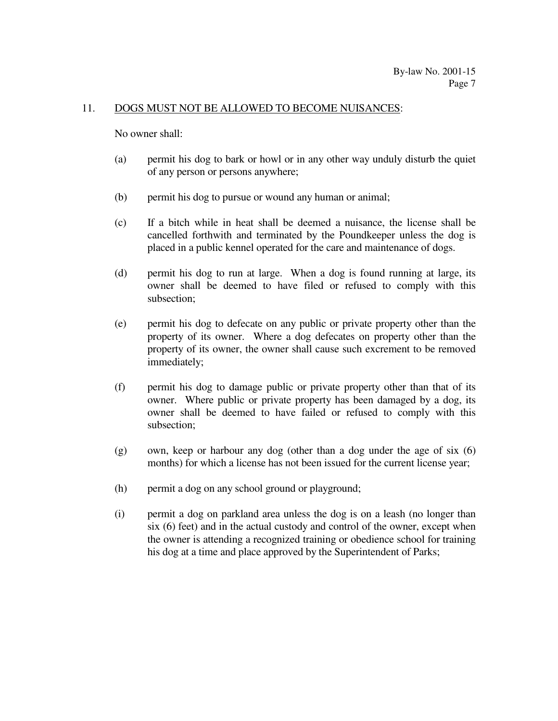#### 11. DOGS MUST NOT BE ALLOWED TO BECOME NUISANCES:

No owner shall:

- (a) permit his dog to bark or howl or in any other way unduly disturb the quiet of any person or persons anywhere;
- (b) permit his dog to pursue or wound any human or animal;
- (c) If a bitch while in heat shall be deemed a nuisance, the license shall be cancelled forthwith and terminated by the Poundkeeper unless the dog is placed in a public kennel operated for the care and maintenance of dogs.
- (d) permit his dog to run at large. When a dog is found running at large, its owner shall be deemed to have filed or refused to comply with this subsection;
- (e) permit his dog to defecate on any public or private property other than the property of its owner. Where a dog defecates on property other than the property of its owner, the owner shall cause such excrement to be removed immediately;
- (f) permit his dog to damage public or private property other than that of its owner. Where public or private property has been damaged by a dog, its owner shall be deemed to have failed or refused to comply with this subsection;
- (g) own, keep or harbour any dog (other than a dog under the age of six (6) months) for which a license has not been issued for the current license year;
- (h) permit a dog on any school ground or playground;
- (i) permit a dog on parkland area unless the dog is on a leash (no longer than six (6) feet) and in the actual custody and control of the owner, except when the owner is attending a recognized training or obedience school for training his dog at a time and place approved by the Superintendent of Parks;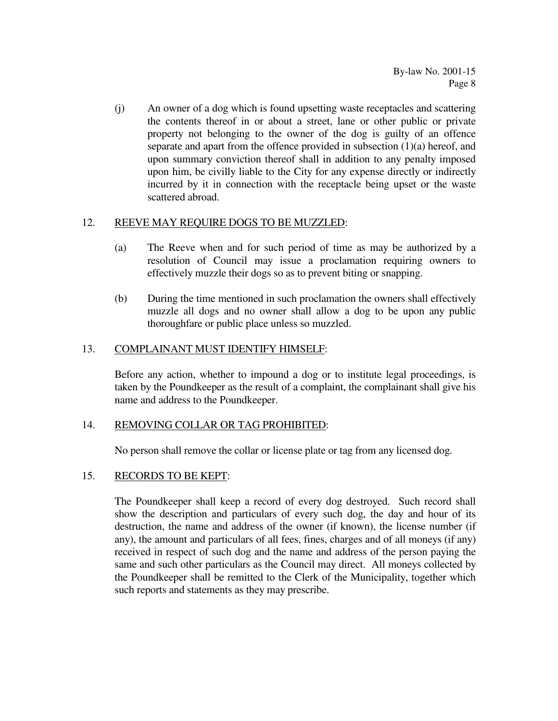(j) An owner of a dog which is found upsetting waste receptacles and scattering the contents thereof in or about a street, lane or other public or private property not belonging to the owner of the dog is guilty of an offence separate and apart from the offence provided in subsection (1)(a) hereof, and upon summary conviction thereof shall in addition to any penalty imposed upon him, be civilly liable to the City for any expense directly or indirectly incurred by it in connection with the receptacle being upset or the waste scattered abroad.

### 12. REEVE MAY REQUIRE DOGS TO BE MUZZLED:

- (a) The Reeve when and for such period of time as may be authorized by a resolution of Council may issue a proclamation requiring owners to effectively muzzle their dogs so as to prevent biting or snapping.
- (b) During the time mentioned in such proclamation the owners shall effectively muzzle all dogs and no owner shall allow a dog to be upon any public thoroughfare or public place unless so muzzled.

# 13. COMPLAINANT MUST IDENTIFY HIMSELF:

 Before any action, whether to impound a dog or to institute legal proceedings, is taken by the Poundkeeper as the result of a complaint, the complainant shall give his name and address to the Poundkeeper.

### 14. REMOVING COLLAR OR TAG PROHIBITED:

No person shall remove the collar or license plate or tag from any licensed dog.

# 15. RECORDS TO BE KEPT:

 The Poundkeeper shall keep a record of every dog destroyed. Such record shall show the description and particulars of every such dog, the day and hour of its destruction, the name and address of the owner (if known), the license number (if any), the amount and particulars of all fees, fines, charges and of all moneys (if any) received in respect of such dog and the name and address of the person paying the same and such other particulars as the Council may direct. All moneys collected by the Poundkeeper shall be remitted to the Clerk of the Municipality, together which such reports and statements as they may prescribe.